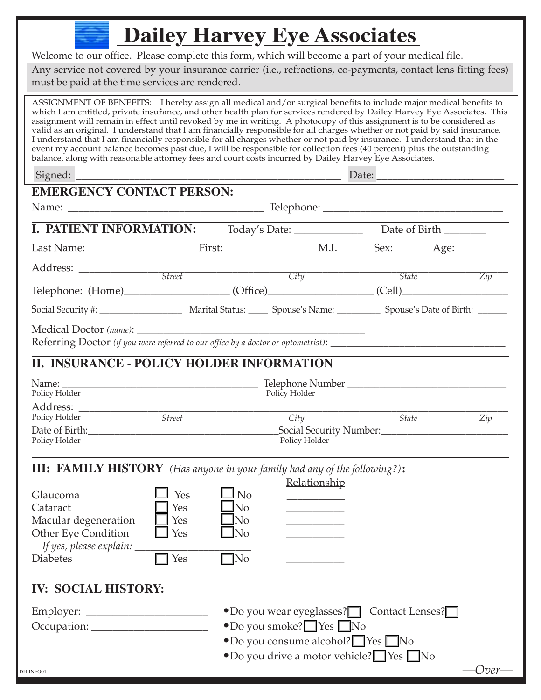## **Dailey Harvey Eye Associates**

Welcome to our office. Please complete this form, which will become a part of your medical file. Any service not covered by your insurance carrier (i.e., refractions, co-payments, contact lens fitting fees) must be paid at the time services are rendered.

ASSIGNMENT OF BENEFITS: I hereby assign all medical and/or surgical benefits to include major medical benefits to which I am entitled, private insurance, and other health plan for services rendered by Dailey Harvey Eye Associates. This assignment will remain in effect until revoked by me in writing. A photocopy of this assignment is to be considered as valid as an original. I understand that I am financially responsible for all charges whether or not paid by said insurance. I understand that I am financially responsible for all charges whether or not paid by insurance. I understand that in the event my account balance becomes past due, I will be responsible for collection fees (40 percent) plus the outstanding balance, along with reasonable attorney fees and court costs incurred by Dailey Harvey Eye Associates.

Signed: \_\_\_\_\_\_\_\_\_\_\_\_\_\_\_\_\_\_\_\_\_\_\_\_\_\_\_\_\_\_\_\_\_\_\_\_\_\_\_\_\_\_\_\_\_\_\_\_\_\_ Date: \_\_\_\_\_\_\_\_\_\_\_\_\_\_\_\_\_\_\_\_\_\_\_\_\_\_

| <b>EMERGENCY CONTACT PERSON:</b>                                                                                                                                                                             |                                 |                                                                      |                                                                              |              |                     |  |  |
|--------------------------------------------------------------------------------------------------------------------------------------------------------------------------------------------------------------|---------------------------------|----------------------------------------------------------------------|------------------------------------------------------------------------------|--------------|---------------------|--|--|
|                                                                                                                                                                                                              |                                 |                                                                      |                                                                              |              |                     |  |  |
|                                                                                                                                                                                                              | <b>I. PATIENT INFORMATION:</b>  |                                                                      |                                                                              |              |                     |  |  |
|                                                                                                                                                                                                              |                                 |                                                                      |                                                                              |              |                     |  |  |
|                                                                                                                                                                                                              |                                 |                                                                      |                                                                              |              | <i>State</i><br>Zip |  |  |
|                                                                                                                                                                                                              |                                 |                                                                      |                                                                              |              |                     |  |  |
| Social Security #: ______________________ Marital Status: ______ Spouse's Name: ___________ Spouse's Date of Birth: ______                                                                                   |                                 |                                                                      |                                                                              |              |                     |  |  |
|                                                                                                                                                                                                              |                                 |                                                                      |                                                                              |              |                     |  |  |
| <b>II. INSURANCE - POLICY HOLDER INFORMATION</b>                                                                                                                                                             |                                 |                                                                      |                                                                              |              |                     |  |  |
| Policy Holder                                                                                                                                                                                                |                                 |                                                                      | Policy Holder                                                                |              |                     |  |  |
| Policy Holder<br>Policy Holder                                                                                                                                                                               | Street                          |                                                                      | City<br>Policy Holder                                                        | <b>State</b> | Zip                 |  |  |
| <b>III: FAMILY HISTORY</b> (Has anyone in your family had any of the following?):<br>Glaucoma<br>Cataract<br>Macular degeneration<br>Other Eye Condition<br>If yes, please explain: _____<br><b>Diabetes</b> | Yes<br>Yes<br>Yes<br>Yes<br>Yes | $\mathsf{\underline{J}}$ No<br>JNo<br>lNo.<br><b>No</b><br>$\neg$ No | Relationship<br>_________<br><u> 1989 - Johann Barnett, fransk politiker</u> |              |                     |  |  |

## **IV: SOCIAL HISTORY:**

| Employer:   | • Do you wear eyeglasses? Contact Lenses?    |
|-------------|----------------------------------------------|
| Occupation: | $\bullet$ Do you smoke? $\Box$ Yes $\Box$ No |
|             | • Do you consume alcohol? Yes No             |

•Do you drive a motor vehicle? ❏ Yes ❏ No

Over